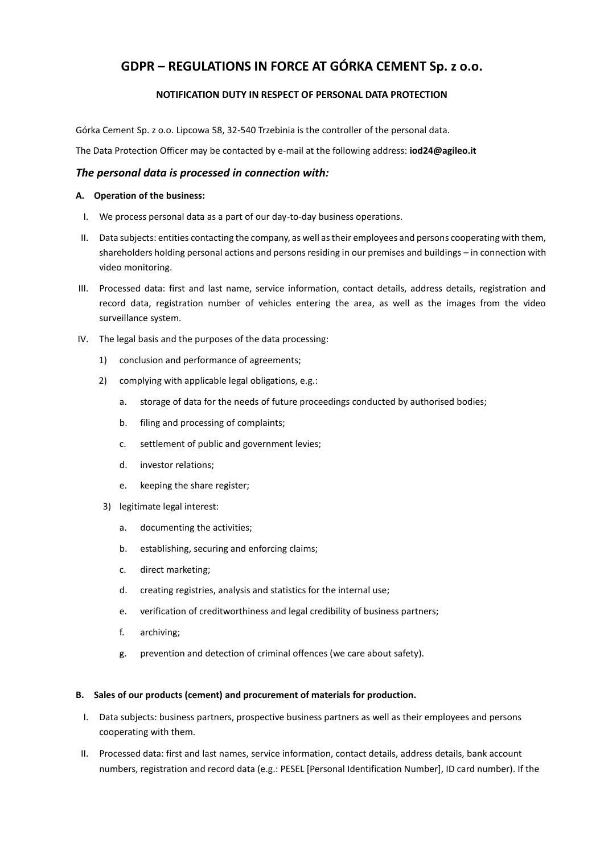# **GDPR – REGULATIONS IN FORCE AT GÓRKA CEMENT Sp. z o.o.**

# **NOTIFICATION DUTY IN RESPECT OF PERSONAL DATA PROTECTION**

Górka Cement Sp. z o.o. Lipcowa 58, 32-540 Trzebinia is the controller of the personal data.

The Data Protection Officer may be contacted by e-mail at the following address: **iod24@agileo.it**

## *The personal data is processed in connection with:*

## **A. Operation of the business:**

- I. We process personal data as a part of our day-to-day business operations.
- II. Data subjects: entities contacting the company, as well as their employees and persons cooperating with them, shareholders holding personal actions and persons residing in our premises and buildings – in connection with video monitoring.
- III. Processed data: first and last name, service information, contact details, address details, registration and record data, registration number of vehicles entering the area, as well as the images from the video surveillance system.
- IV. The legal basis and the purposes of the data processing:
	- 1) conclusion and performance of agreements;
	- 2) complying with applicable legal obligations, e.g.:
		- a. storage of data for the needs of future proceedings conducted by authorised bodies;
		- b. filing and processing of complaints;
		- c. settlement of public and government levies;
		- d. investor relations;
		- e. keeping the share register;
	- 3) legitimate legal interest:
		- a. documenting the activities;
		- b. establishing, securing and enforcing claims;
		- c. direct marketing;
		- d. creating registries, analysis and statistics for the internal use;
		- e. verification of creditworthiness and legal credibility of business partners;
		- f. archiving;
		- g. prevention and detection of criminal offences (we care about safety).

## **B. Sales of our products (cement) and procurement of materials for production.**

- I. Data subjects: business partners, prospective business partners as well as their employees and persons cooperating with them.
- II. Processed data: first and last names, service information, contact details, address details, bank account numbers, registration and record data (e.g.: PESEL [Personal Identification Number], ID card number). If the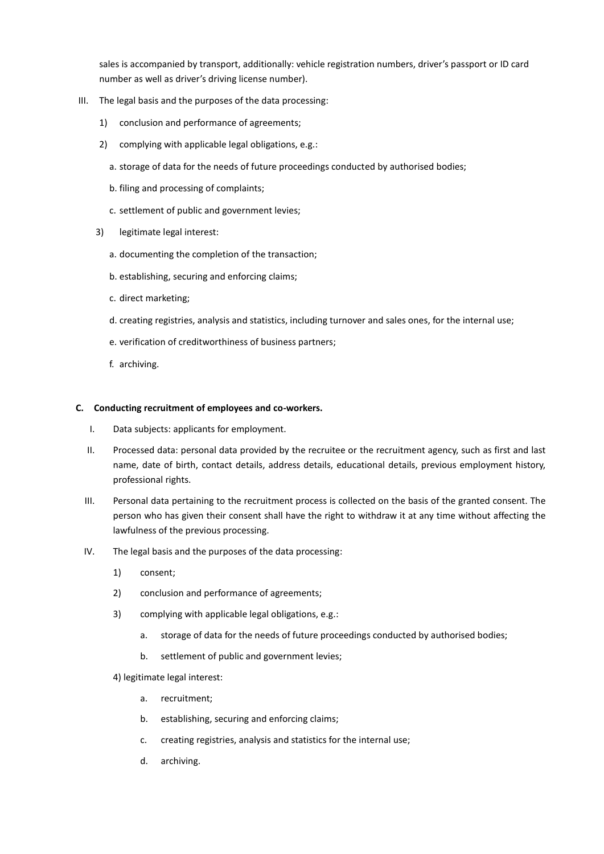sales is accompanied by transport, additionally: vehicle registration numbers, driver's passport or ID card number as well as driver's driving license number).

- III. The legal basis and the purposes of the data processing:
	- 1) conclusion and performance of agreements;
	- 2) complying with applicable legal obligations, e.g.:
		- a. storage of data for the needs of future proceedings conducted by authorised bodies;
		- b. filing and processing of complaints;
		- c. settlement of public and government levies;
	- 3) legitimate legal interest:
		- a. documenting the completion of the transaction;
		- b. establishing, securing and enforcing claims;
		- c. direct marketing;
		- d. creating registries, analysis and statistics, including turnover and sales ones, for the internal use;
		- e. verification of creditworthiness of business partners;
		- f. archiving.

#### **C. Conducting recruitment of employees and co-workers.**

- I. Data subjects: applicants for employment.
- II. Processed data: personal data provided by the recruitee or the recruitment agency, such as first and last name, date of birth, contact details, address details, educational details, previous employment history, professional rights.
- III. Personal data pertaining to the recruitment process is collected on the basis of the granted consent. The person who has given their consent shall have the right to withdraw it at any time without affecting the lawfulness of the previous processing.
- IV. The legal basis and the purposes of the data processing:
	- 1) consent;
	- 2) conclusion and performance of agreements;
	- 3) complying with applicable legal obligations, e.g.:
		- a. storage of data for the needs of future proceedings conducted by authorised bodies;
		- b. settlement of public and government levies;

4) legitimate legal interest:

- a. recruitment;
- b. establishing, securing and enforcing claims;
- c. creating registries, analysis and statistics for the internal use;
- d. archiving.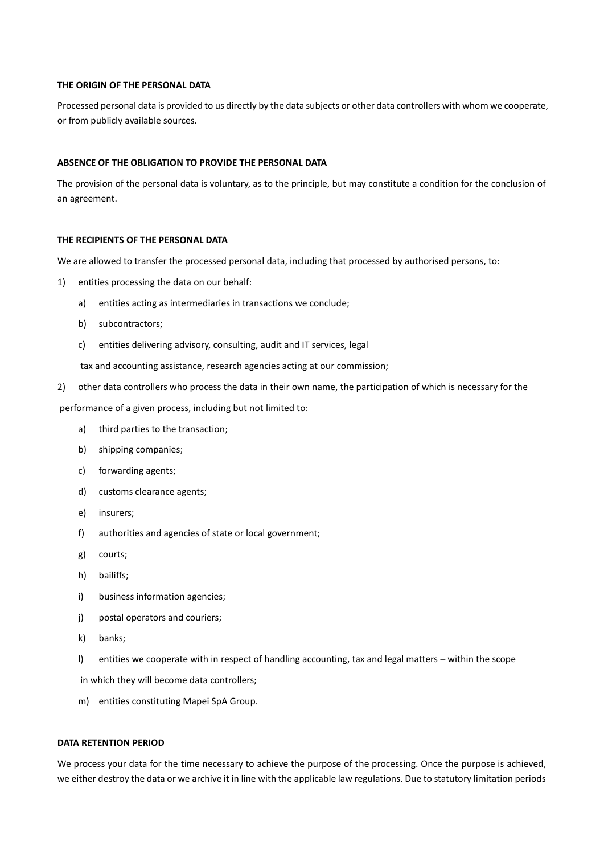#### **THE ORIGIN OF THE PERSONAL DATA**

Processed personal data is provided to us directly by the data subjects or other data controllers with whom we cooperate, or from publicly available sources.

#### **ABSENCE OF THE OBLIGATION TO PROVIDE THE PERSONAL DATA**

The provision of the personal data is voluntary, as to the principle, but may constitute a condition for the conclusion of an agreement.

#### **THE RECIPIENTS OF THE PERSONAL DATA**

We are allowed to transfer the processed personal data, including that processed by authorised persons, to:

- 1) entities processing the data on our behalf:
	- a) entities acting as intermediaries in transactions we conclude;
	- b) subcontractors;
	- c) entities delivering advisory, consulting, audit and IT services, legal

tax and accounting assistance, research agencies acting at our commission;

2) other data controllers who process the data in their own name, the participation of which is necessary for the

performance of a given process, including but not limited to:

- a) third parties to the transaction;
- b) shipping companies;
- c) forwarding agents;
- d) customs clearance agents;
- e) insurers;
- f) authorities and agencies of state or local government;
- g) courts;
- h) bailiffs;
- i) business information agencies;
- j) postal operators and couriers;
- k) banks;
- l) entities we cooperate with in respect of handling accounting, tax and legal matters within the scope

in which they will become data controllers;

m) entities constituting Mapei SpA Group.

#### **DATA RETENTION PERIOD**

We process your data for the time necessary to achieve the purpose of the processing. Once the purpose is achieved, we either destroy the data or we archive it in line with the applicable law regulations. Due to statutory limitation periods